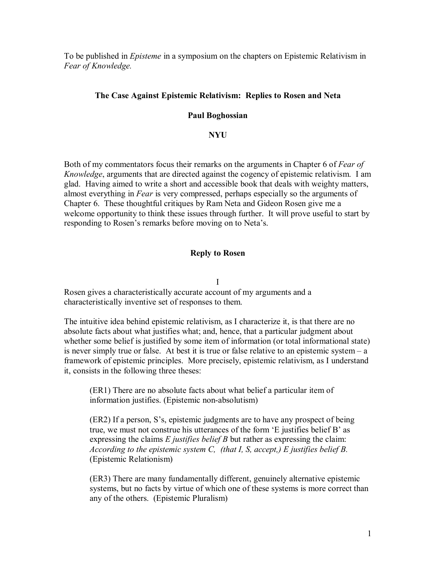To be published in *Episteme* in a symposium on the chapters on Epistemic Relativism in *Fear of Knowledge.*

## **The Case Against Epistemic Relativism: Replies to Rosen and Neta**

#### **Paul Boghossian**

**NYU**

Both of my commentators focus their remarks on the arguments in Chapter 6 of *Fear of Knowledge*, arguments that are directed against the cogency of epistemic relativism. I am glad. Having aimed to write a short and accessible book that deals with weighty matters, almost everything in *Fear* is very compressed, perhaps especially so the arguments of Chapter 6. These thoughtful critiques by Ram Neta and Gideon Rosen give me a welcome opportunity to think these issues through further. It will prove useful to start by responding to Rosen's remarks before moving on to Neta's.

#### **Reply to Rosen**

I

Rosen gives a characteristically accurate account of my arguments and a characteristically inventive set of responses to them.

The intuitive idea behind epistemic relativism, as I characterize it, is that there are no absolute facts about what justifies what; and, hence, that a particular judgment about whether some belief is justified by some item of information (or total informational state) is never simply true or false. At best it is true or false relative to an epistemic system  $-a$ framework of epistemic principles. More precisely, epistemic relativism, as I understand it, consists in the following three theses:

(ER1) There are no absolute facts about what belief a particular item of information justifies. (Epistemic non-absolutism)

(ER2) If a person, S's, epistemic judgments are to have any prospect of being true, we must not construe his utterances of the form 'E justifies belief B' as expressing the claims *E justifies belief B* but rather as expressing the claim: *According to the epistemic system C, (that I, S, accept,) E justifies belief B.*  (Epistemic Relationism)

(ER3) There are many fundamentally different, genuinely alternative epistemic systems, but no facts by virtue of which one of these systems is more correct than any of the others. (Epistemic Pluralism)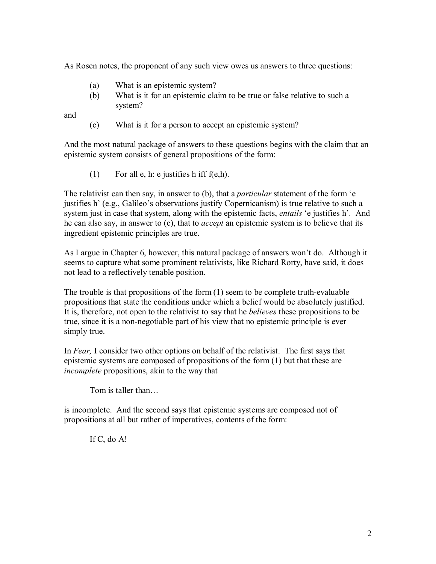As Rosen notes, the proponent of any such view owes us answers to three questions:

- (a) What is an epistemic system?
- (b) What is it for an epistemic claim to be true or false relative to such a system?

and

(c) What is it for a person to accept an epistemic system?

And the most natural package of answers to these questions begins with the claim that an epistemic system consists of general propositions of the form:

(1) For all e, h: e justifies h iff  $f(e,h)$ .

The relativist can then say, in answer to (b), that a *particular* statement of the form 'e justifies h' (e.g., Galileo's observations justify Copernicanism) is true relative to such a system just in case that system, along with the epistemic facts, *entails* 'e justifies h'. And he can also say, in answer to (c), that to *accept* an epistemic system is to believe that its ingredient epistemic principles are true.

As I argue in Chapter 6, however, this natural package of answers won't do. Although it seems to capture what some prominent relativists, like Richard Rorty, have said, it does not lead to a reflectively tenable position.

The trouble is that propositions of the form (1) seem to be complete truth-evaluable propositions that state the conditions under which a belief would be absolutely justified. It is, therefore, not open to the relativist to say that he *believes* these propositions to be true, since it is a non-negotiable part of his view that no epistemic principle is ever simply true.

In *Fear,* I consider two other options on behalf of the relativist. The first says that epistemic systems are composed of propositions of the form (1) but that these are *incomplete* propositions, akin to the way that

Tom is taller than…

is incomplete. And the second says that epistemic systems are composed not of propositions at all but rather of imperatives, contents of the form:

If C, do A!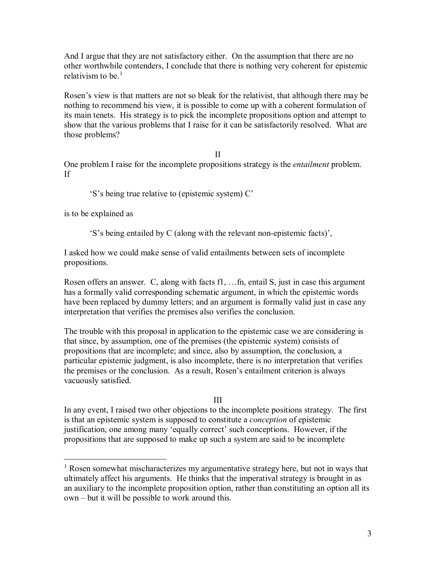And I argue that they are not satisfactory either. On the assumption that there are no other worthwhile contenders, I conclude that there is nothing very coherent for epistemic relativism to be.<sup>[1](#page-2-0)</sup>

Rosen's view is that matters are not so bleak for the relativist, that although there may be nothing to recommend his view, it is possible to come up with a coherent formulation of its main tenets. His strategy is to pick the incomplete propositions option and attempt to show that the various problems that I raise for it can be satisfactorily resolved. What are those problems?

II One problem I raise for the incomplete propositions strategy is the *entailment* problem. If

'S's being true relative to (epistemic system) C'

is to be explained as

'S's being entailed by C (along with the relevant non-epistemic facts)',

I asked how we could make sense of valid entailments between sets of incomplete propositions.

Rosen offers an answer. C, along with facts f1, ... fn, entail S, just in case this argument has a formally valid corresponding schematic argument, in which the epistemic words have been replaced by dummy letters; and an argument is formally valid just in case any interpretation that verifies the premises also verifies the conclusion.

The trouble with this proposal in application to the epistemic case we are considering is that since, by assumption, one of the premises (the epistemic system) consists of propositions that are incomplete; and since, also by assumption, the conclusion, a particular epistemic judgment, is also incomplete, there is no interpretation that verifies the premises or the conclusion. As a result, Rosen's entailment criterion is always vacuously satisfied.

III

In any event, I raised two other objections to the incomplete positions strategy. The first is that an epistemic system is supposed to constitute a *conception* of epistemic justification, one among many 'equally correct' such conceptions. However, if the propositions that are supposed to make up such a system are said to be incomplete

<span id="page-2-0"></span> $<sup>1</sup>$  Rosen somewhat mischaracterizes my argumentative strategy here, but not in ways that</sup> ultimately affect his arguments. He thinks that the imperatival strategy is brought in as an auxiliary to the incomplete proposition option, rather than constituting an option all its own – but it will be possible to work around this.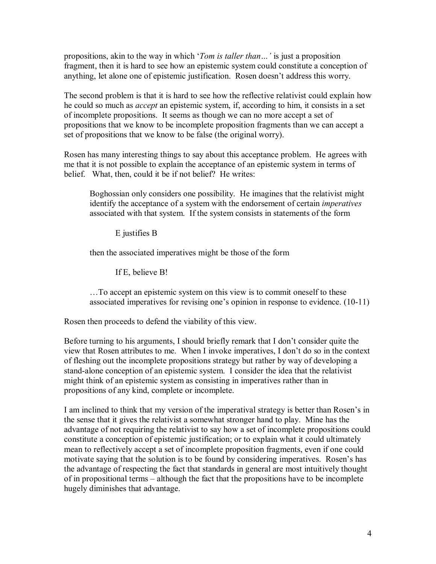propositions, akin to the way in which '*Tom is taller than…'* is just a proposition fragment, then it is hard to see how an epistemic system could constitute a conception of anything, let alone one of epistemic justification. Rosen doesn't address this worry.

The second problem is that it is hard to see how the reflective relativist could explain how he could so much as *accept* an epistemic system, if, according to him, it consists in a set of incomplete propositions. It seems as though we can no more accept a set of propositions that we know to be incomplete proposition fragments than we can accept a set of propositions that we know to be false (the original worry).

Rosen has many interesting things to say about this acceptance problem. He agrees with me that it is not possible to explain the acceptance of an epistemic system in terms of belief. What, then, could it be if not belief? He writes:

Boghossian only considers one possibility. He imagines that the relativist might identify the acceptance of a system with the endorsement of certain *imperatives*  associated with that system. If the system consists in statements of the form

E justifies B

then the associated imperatives might be those of the form

If E, believe B!

…To accept an epistemic system on this view is to commit oneself to these associated imperatives for revising one's opinion in response to evidence. (10-11)

Rosen then proceeds to defend the viability of this view.

Before turning to his arguments, I should briefly remark that I don't consider quite the view that Rosen attributes to me. When I invoke imperatives, I don't do so in the context of fleshing out the incomplete propositions strategy but rather by way of developing a stand-alone conception of an epistemic system. I consider the idea that the relativist might think of an epistemic system as consisting in imperatives rather than in propositions of any kind, complete or incomplete.

I am inclined to think that my version of the imperatival strategy is better than Rosen's in the sense that it gives the relativist a somewhat stronger hand to play. Mine has the advantage of not requiring the relativist to say how a set of incomplete propositions could constitute a conception of epistemic justification; or to explain what it could ultimately mean to reflectively accept a set of incomplete proposition fragments, even if one could motivate saying that the solution is to be found by considering imperatives. Rosen's has the advantage of respecting the fact that standards in general are most intuitively thought of in propositional terms – although the fact that the propositions have to be incomplete hugely diminishes that advantage.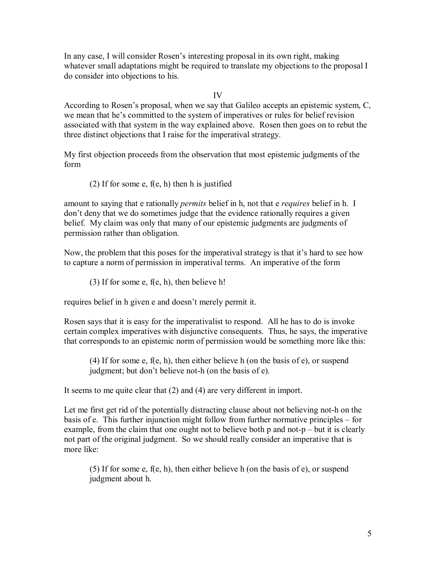In any case, I will consider Rosen's interesting proposal in its own right, making whatever small adaptations might be required to translate my objections to the proposal I do consider into objections to his.

IV

According to Rosen's proposal, when we say that Galileo accepts an epistemic system, C, we mean that he's committed to the system of imperatives or rules for belief revision associated with that system in the way explained above. Rosen then goes on to rebut the three distinct objections that I raise for the imperatival strategy.

My first objection proceeds from the observation that most epistemic judgments of the form

(2) If for some e, f(e, h) then h is justified

amount to saying that e rationally *permits* belief in h, not that e *requires* belief in h. I don't deny that we do sometimes judge that the evidence rationally requires a given belief. My claim was only that many of our epistemic judgments are judgments of permission rather than obligation.

Now, the problem that this poses for the imperatival strategy is that it's hard to see how to capture a norm of permission in imperatival terms. An imperative of the form

(3) If for some e,  $f(e, h)$ , then believe h!

requires belief in h given e and doesn't merely permit it.

Rosen says that it is easy for the imperativalist to respond. All he has to do is invoke certain complex imperatives with disjunctive consequents. Thus, he says, the imperative that corresponds to an epistemic norm of permission would be something more like this:

(4) If for some e, f(e, h), then either believe h (on the basis of e), or suspend judgment; but don't believe not-h (on the basis of e).

It seems to me quite clear that (2) and (4) are very different in import.

Let me first get rid of the potentially distracting clause about not believing not-h on the basis of e. This further injunction might follow from further normative principles – for example, from the claim that one ought not to believe both  $p$  and not- $p$  – but it is clearly not part of the original judgment. So we should really consider an imperative that is more like:

(5) If for some e, f(e, h), then either believe h (on the basis of e), or suspend judgment about h.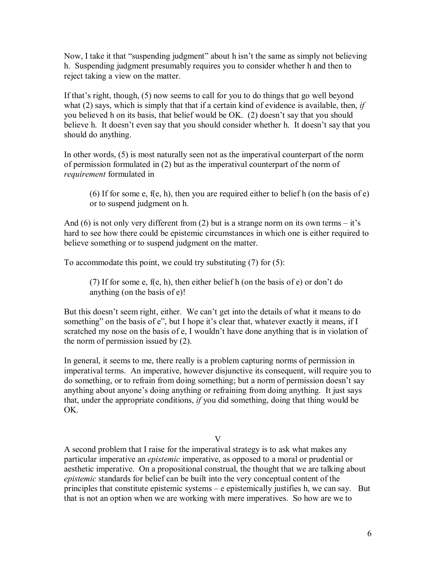Now, I take it that "suspending judgment" about h isn't the same as simply not believing h. Suspending judgment presumably requires you to consider whether h and then to reject taking a view on the matter.

If that's right, though, (5) now seems to call for you to do things that go well beyond what (2) says, which is simply that that if a certain kind of evidence is available, then, *if* you believed h on its basis, that belief would be OK. (2) doesn't say that you should believe h. It doesn't even say that you should consider whether h. It doesn't say that you should do anything.

In other words, (5) is most naturally seen not as the imperatival counterpart of the norm of permission formulated in (2) but as the imperatival counterpart of the norm of *requirement* formulated in

(6) If for some e,  $f(e, h)$ , then you are required either to belief h (on the basis of e) or to suspend judgment on h.

And (6) is not only very different from (2) but is a strange norm on its own terms – it's hard to see how there could be epistemic circumstances in which one is either required to believe something or to suspend judgment on the matter.

To accommodate this point, we could try substituting (7) for (5):

(7) If for some e, f(e, h), then either belief h (on the basis of e) or don't do anything (on the basis of e)!

But this doesn't seem right, either. We can't get into the details of what it means to do something" on the basis of e", but I hope it's clear that, whatever exactly it means, if I scratched my nose on the basis of e, I wouldn't have done anything that is in violation of the norm of permission issued by (2).

In general, it seems to me, there really is a problem capturing norms of permission in imperatival terms. An imperative, however disjunctive its consequent, will require you to do something, or to refrain from doing something; but a norm of permission doesn't say anything about anyone's doing anything or refraining from doing anything. It just says that, under the appropriate conditions, *if* you did something, doing that thing would be OK.

V

A second problem that I raise for the imperatival strategy is to ask what makes any particular imperative an *epistemic* imperative, as opposed to a moral or prudential or aesthetic imperative. On a propositional construal, the thought that we are talking about *epistemic* standards for belief can be built into the very conceptual content of the principles that constitute epistemic systems – e epistemically justifies h, we can say. But that is not an option when we are working with mere imperatives. So how are we to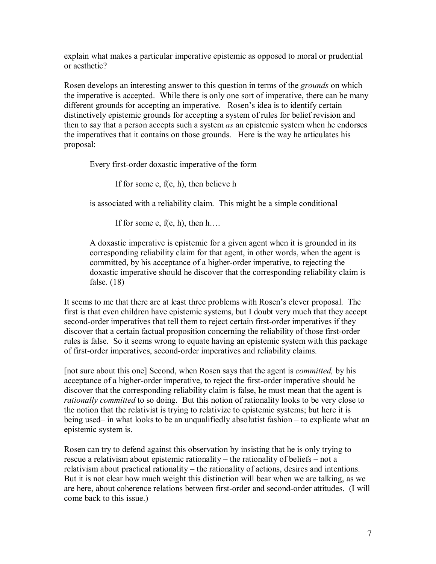explain what makes a particular imperative epistemic as opposed to moral or prudential or aesthetic?

Rosen develops an interesting answer to this question in terms of the *grounds* on which the imperative is accepted. While there is only one sort of imperative, there can be many different grounds for accepting an imperative. Rosen's idea is to identify certain distinctively epistemic grounds for accepting a system of rules for belief revision and then to say that a person accepts such a system *as* an epistemic system when he endorses the imperatives that it contains on those grounds. Here is the way he articulates his proposal:

Every first-order doxastic imperative of the form

If for some e, f(e, h), then believe h

is associated with a reliability claim. This might be a simple conditional

If for some  $e$ ,  $f(e, h)$ , then  $h...$ 

A doxastic imperative is epistemic for a given agent when it is grounded in its corresponding reliability claim for that agent, in other words, when the agent is committed, by his acceptance of a higher-order imperative, to rejecting the doxastic imperative should he discover that the corresponding reliability claim is false. (18)

It seems to me that there are at least three problems with Rosen's clever proposal. The first is that even children have epistemic systems, but I doubt very much that they accept second-order imperatives that tell them to reject certain first-order imperatives if they discover that a certain factual proposition concerning the reliability of those first-order rules is false. So it seems wrong to equate having an epistemic system with this package of first-order imperatives, second-order imperatives and reliability claims.

[not sure about this one] Second, when Rosen says that the agent is *committed,* by his acceptance of a higher-order imperative, to reject the first-order imperative should he discover that the corresponding reliability claim is false, he must mean that the agent is *rationally committed* to so doing. But this notion of rationality looks to be very close to the notion that the relativist is trying to relativize to epistemic systems; but here it is being used– in what looks to be an unqualifiedly absolutist fashion – to explicate what an epistemic system is.

Rosen can try to defend against this observation by insisting that he is only trying to rescue a relativism about epistemic rationality – the rationality of beliefs – not a relativism about practical rationality – the rationality of actions, desires and intentions. But it is not clear how much weight this distinction will bear when we are talking, as we are here, about coherence relations between first-order and second-order attitudes. (I will come back to this issue.)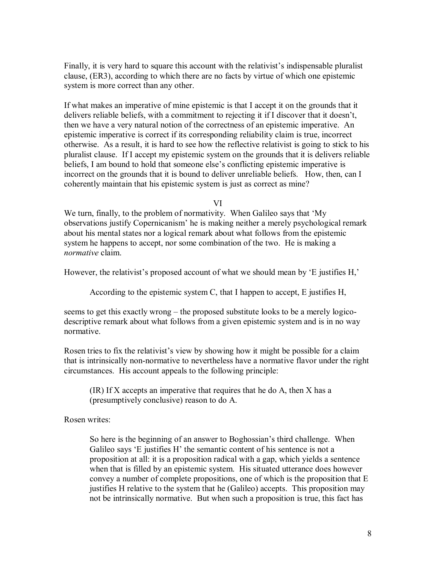Finally, it is very hard to square this account with the relativist's indispensable pluralist clause, (ER3), according to which there are no facts by virtue of which one epistemic system is more correct than any other.

If what makes an imperative of mine epistemic is that I accept it on the grounds that it delivers reliable beliefs, with a commitment to rejecting it if I discover that it doesn't, then we have a very natural notion of the correctness of an epistemic imperative. An epistemic imperative is correct if its corresponding reliability claim is true, incorrect otherwise. As a result, it is hard to see how the reflective relativist is going to stick to his pluralist clause. If I accept my epistemic system on the grounds that it is delivers reliable beliefs, I am bound to hold that someone else's conflicting epistemic imperative is incorrect on the grounds that it is bound to deliver unreliable beliefs. How, then, can I coherently maintain that his epistemic system is just as correct as mine?

VI

We turn, finally, to the problem of normativity. When Galileo says that 'My observations justify Copernicanism' he is making neither a merely psychological remark about his mental states nor a logical remark about what follows from the epistemic system he happens to accept, nor some combination of the two. He is making a *normative* claim.

However, the relativist's proposed account of what we should mean by 'E justifies H,'

According to the epistemic system C, that I happen to accept, E justifies H,

seems to get this exactly wrong – the proposed substitute looks to be a merely logicodescriptive remark about what follows from a given epistemic system and is in no way normative.

Rosen tries to fix the relativist's view by showing how it might be possible for a claim that is intrinsically non-normative to nevertheless have a normative flavor under the right circumstances. His account appeals to the following principle:

(IR) If X accepts an imperative that requires that he do A, then X has a (presumptively conclusive) reason to do A.

Rosen writes:

So here is the beginning of an answer to Boghossian's third challenge. When Galileo says 'E justifies H' the semantic content of his sentence is not a proposition at all: it is a proposition radical with a gap, which yields a sentence when that is filled by an epistemic system. His situated utterance does however convey a number of complete propositions, one of which is the proposition that E justifies H relative to the system that he (Galileo) accepts. This proposition may not be intrinsically normative. But when such a proposition is true, this fact has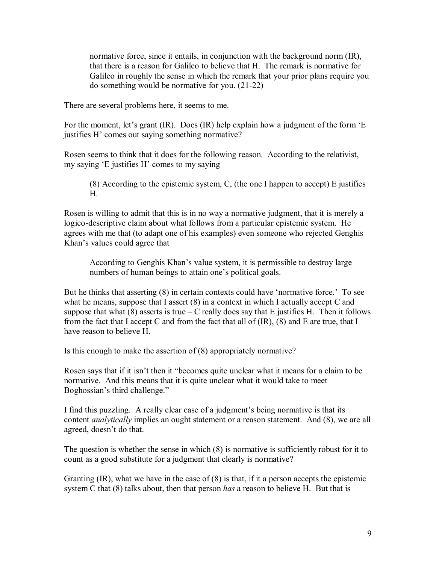normative force, since it entails, in conjunction with the background norm (IR), that there is a reason for Galileo to believe that H. The remark is normative for Galileo in roughly the sense in which the remark that your prior plans require you do something would be normative for you. (21-22)

There are several problems here, it seems to me.

For the moment, let's grant (IR). Does (IR) help explain how a judgment of the form 'E justifies H' comes out saying something normative?

Rosen seems to think that it does for the following reason. According to the relativist, my saying 'E justifies H' comes to my saying

(8) According to the epistemic system, C, (the one I happen to accept) E justifies H.

Rosen is willing to admit that this is in no way a normative judgment, that it is merely a logico-descriptive claim about what follows from a particular epistemic system. He agrees with me that (to adapt one of his examples) even someone who rejected Genghis Khan's values could agree that

According to Genghis Khan's value system, it is permissible to destroy large numbers of human beings to attain one's political goals.

But he thinks that asserting (8) in certain contexts could have 'normative force.' To see what he means, suppose that I assert  $(8)$  in a context in which I actually accept C and suppose that what  $(8)$  asserts is true – C really does say that E justifies H. Then it follows from the fact that I accept C and from the fact that all of  $(IR)$ ,  $(8)$  and E are true, that I have reason to believe H.

Is this enough to make the assertion of (8) appropriately normative?

Rosen says that if it isn't then it "becomes quite unclear what it means for a claim to be normative. And this means that it is quite unclear what it would take to meet Boghossian's third challenge."

I find this puzzling. A really clear case of a judgment's being normative is that its content *analytically* implies an ought statement or a reason statement. And (8), we are all agreed, doesn't do that.

The question is whether the sense in which (8) is normative is sufficiently robust for it to count as a good substitute for a judgment that clearly is normative?

Granting (IR), what we have in the case of  $(8)$  is that, if it a person accepts the epistemic system C that (8) talks about, then that person *has* a reason to believe H. But that is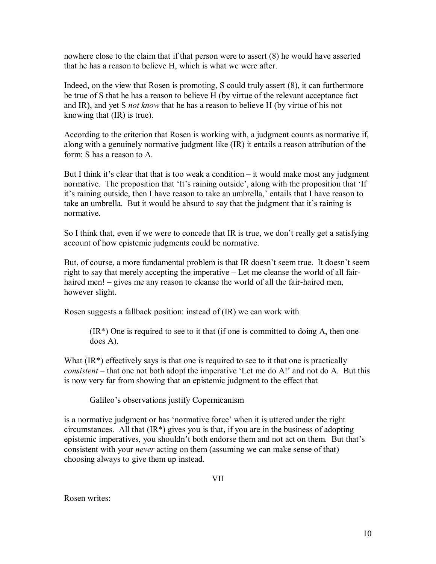nowhere close to the claim that if that person were to assert (8) he would have asserted that he has a reason to believe H, which is what we were after.

Indeed, on the view that Rosen is promoting, S could truly assert (8), it can furthermore be true of S that he has a reason to believe H (by virtue of the relevant acceptance fact and IR), and yet S *not know* that he has a reason to believe H (by virtue of his not knowing that (IR) is true).

According to the criterion that Rosen is working with, a judgment counts as normative if, along with a genuinely normative judgment like (IR) it entails a reason attribution of the form: S has a reason to A.

But I think it's clear that that is too weak a condition  $-$  it would make most any judgment normative. The proposition that 'It's raining outside', along with the proposition that 'If it's raining outside, then I have reason to take an umbrella,' entails that I have reason to take an umbrella. But it would be absurd to say that the judgment that it's raining is normative.

So I think that, even if we were to concede that IR is true, we don't really get a satisfying account of how epistemic judgments could be normative.

But, of course, a more fundamental problem is that IR doesn't seem true. It doesn't seem right to say that merely accepting the imperative – Let me cleanse the world of all fairhaired men! – gives me any reason to cleanse the world of all the fair-haired men, however slight.

Rosen suggests a fallback position: instead of (IR) we can work with

 $(IR^*)$  One is required to see to it that (if one is committed to doing A, then one does A).

What  $(IR^*)$  effectively says is that one is required to see to it that one is practically *consistent* – that one not both adopt the imperative 'Let me do A!' and not do A. But this is now very far from showing that an epistemic judgment to the effect that

Galileo's observations justify Copernicanism

is a normative judgment or has 'normative force' when it is uttered under the right circumstances. All that  $(IR^*)$  gives you is that, if you are in the business of adopting epistemic imperatives, you shouldn't both endorse them and not act on them. But that's consistent with your *never* acting on them (assuming we can make sense of that) choosing always to give them up instead.

VII

Rosen writes: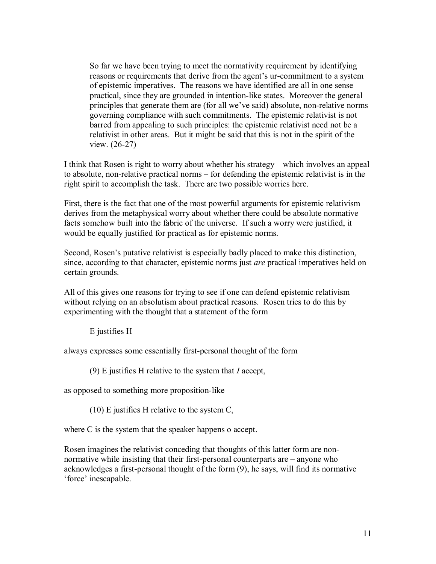So far we have been trying to meet the normativity requirement by identifying reasons or requirements that derive from the agent's ur-commitment to a system of epistemic imperatives. The reasons we have identified are all in one sense practical, since they are grounded in intention-like states. Moreover the general principles that generate them are (for all we've said) absolute, non-relative norms governing compliance with such commitments. The epistemic relativist is not barred from appealing to such principles: the epistemic relativist need not be a relativist in other areas. But it might be said that this is not in the spirit of the view. (26-27)

I think that Rosen is right to worry about whether his strategy – which involves an appeal to absolute, non-relative practical norms – for defending the epistemic relativist is in the right spirit to accomplish the task. There are two possible worries here.

First, there is the fact that one of the most powerful arguments for epistemic relativism derives from the metaphysical worry about whether there could be absolute normative facts somehow built into the fabric of the universe. If such a worry were justified, it would be equally justified for practical as for epistemic norms.

Second, Rosen's putative relativist is especially badly placed to make this distinction, since, according to that character, epistemic norms just *are* practical imperatives held on certain grounds.

All of this gives one reasons for trying to see if one can defend epistemic relativism without relying on an absolutism about practical reasons. Rosen tries to do this by experimenting with the thought that a statement of the form

E justifies H

always expresses some essentially first-personal thought of the form

(9) E justifies H relative to the system that *I* accept,

as opposed to something more proposition-like

(10) E justifies H relative to the system C,

where C is the system that the speaker happens o accept.

Rosen imagines the relativist conceding that thoughts of this latter form are nonnormative while insisting that their first-personal counterparts are – anyone who acknowledges a first-personal thought of the form (9), he says, will find its normative 'force' inescapable.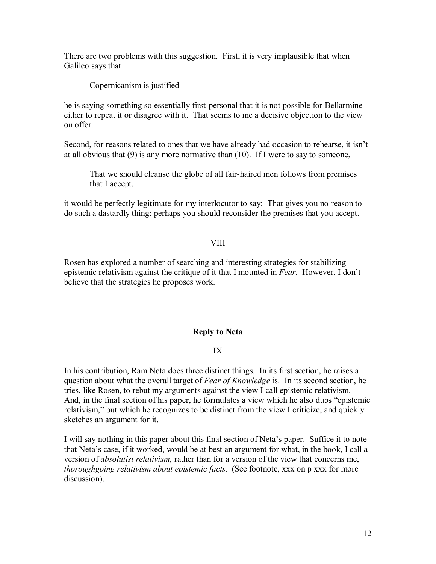There are two problems with this suggestion. First, it is very implausible that when Galileo says that

Copernicanism is justified

he is saying something so essentially first-personal that it is not possible for Bellarmine either to repeat it or disagree with it. That seems to me a decisive objection to the view on offer.

Second, for reasons related to ones that we have already had occasion to rehearse, it isn't at all obvious that (9) is any more normative than (10). If I were to say to someone,

That we should cleanse the globe of all fair-haired men follows from premises that I accept.

it would be perfectly legitimate for my interlocutor to say: That gives you no reason to do such a dastardly thing; perhaps you should reconsider the premises that you accept.

### VIII

Rosen has explored a number of searching and interesting strategies for stabilizing epistemic relativism against the critique of it that I mounted in *Fear*. However, I don't believe that the strategies he proposes work.

# **Reply to Neta**

IX

In his contribution, Ram Neta does three distinct things. In its first section, he raises a question about what the overall target of *Fear of Knowledge* is. In its second section, he tries, like Rosen, to rebut my arguments against the view I call epistemic relativism. And, in the final section of his paper, he formulates a view which he also dubs "epistemic relativism," but which he recognizes to be distinct from the view I criticize, and quickly sketches an argument for it.

I will say nothing in this paper about this final section of Neta's paper. Suffice it to note that Neta's case, if it worked, would be at best an argument for what, in the book, I call a version of *absolutist relativism,* rather than for a version of the view that concerns me, *thoroughgoing relativism about epistemic facts.* (See footnote, xxx on p xxx for more discussion).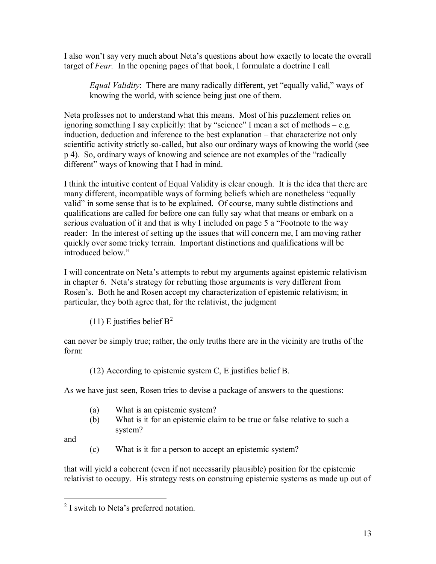I also won't say very much about Neta's questions about how exactly to locate the overall target of *Fear.* In the opening pages of that book, I formulate a doctrine I call

*Equal Validity*: There are many radically different, yet "equally valid," ways of knowing the world, with science being just one of them.

Neta professes not to understand what this means. Most of his puzzlement relies on ignoring something I say explicitly: that by "science" I mean a set of methods – e.g. induction, deduction and inference to the best explanation – that characterize not only scientific activity strictly so-called, but also our ordinary ways of knowing the world (see p 4). So, ordinary ways of knowing and science are not examples of the "radically different" ways of knowing that I had in mind.

I think the intuitive content of Equal Validity is clear enough. It is the idea that there are many different, incompatible ways of forming beliefs which are nonetheless "equally valid" in some sense that is to be explained. Of course, many subtle distinctions and qualifications are called for before one can fully say what that means or embark on a serious evaluation of it and that is why I included on page 5 a "Footnote to the way reader: In the interest of setting up the issues that will concern me, I am moving rather quickly over some tricky terrain. Important distinctions and qualifications will be introduced below."

I will concentrate on Neta's attempts to rebut my arguments against epistemic relativism in chapter 6. Neta's strategy for rebutting those arguments is very different from Rosen's. Both he and Rosen accept my characterization of epistemic relativism; in particular, they both agree that, for the relativist, the judgment

(11) E justifies belief  $B^2$  $B^2$ 

can never be simply true; rather, the only truths there are in the vicinity are truths of the form:

(12) According to epistemic system C, E justifies belief B.

As we have just seen, Rosen tries to devise a package of answers to the questions:

- (a) What is an epistemic system?
- (b) What is it for an epistemic claim to be true or false relative to such a system?

and

(c) What is it for a person to accept an epistemic system?

that will yield a coherent (even if not necessarily plausible) position for the epistemic relativist to occupy. His strategy rests on construing epistemic systems as made up out of

<span id="page-12-0"></span><sup>&</sup>lt;sup>2</sup> I switch to Neta's preferred notation.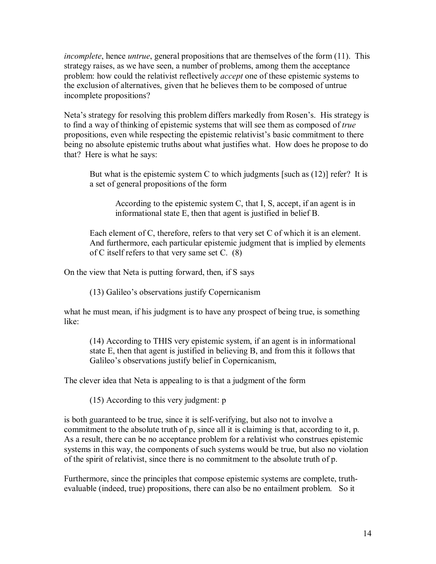*incomplete*, hence *untrue*, general propositions that are themselves of the form (11). This strategy raises, as we have seen, a number of problems, among them the acceptance problem: how could the relativist reflectively *accept* one of these epistemic systems to the exclusion of alternatives, given that he believes them to be composed of untrue incomplete propositions?

Neta's strategy for resolving this problem differs markedly from Rosen's. His strategy is to find a way of thinking of epistemic systems that will see them as composed of *true* propositions, even while respecting the epistemic relativist's basic commitment to there being no absolute epistemic truths about what justifies what. How does he propose to do that? Here is what he says:

But what is the epistemic system C to which judgments [such as  $(12)$ ] refer? It is a set of general propositions of the form

According to the epistemic system C, that I, S, accept, if an agent is in informational state E, then that agent is justified in belief B.

Each element of C, therefore, refers to that very set C of which it is an element. And furthermore, each particular epistemic judgment that is implied by elements of C itself refers to that very same set C. (8)

On the view that Neta is putting forward, then, if S says

(13) Galileo's observations justify Copernicanism

what he must mean, if his judgment is to have any prospect of being true, is something like:

(14) According to THIS very epistemic system, if an agent is in informational state E, then that agent is justified in believing B, and from this it follows that Galileo's observations justify belief in Copernicanism,

The clever idea that Neta is appealing to is that a judgment of the form

(15) According to this very judgment: p

is both guaranteed to be true, since it is self-verifying, but also not to involve a commitment to the absolute truth of p, since all it is claiming is that, according to it, p. As a result, there can be no acceptance problem for a relativist who construes epistemic systems in this way, the components of such systems would be true, but also no violation of the spirit of relativist, since there is no commitment to the absolute truth of p.

Furthermore, since the principles that compose epistemic systems are complete, truthevaluable (indeed, true) propositions, there can also be no entailment problem. So it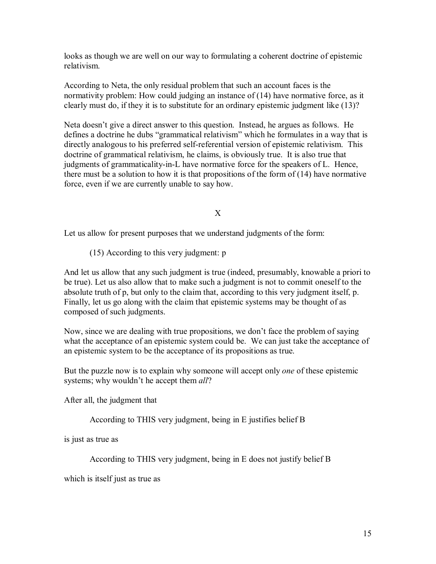looks as though we are well on our way to formulating a coherent doctrine of epistemic relativism.

According to Neta, the only residual problem that such an account faces is the normativity problem: How could judging an instance of (14) have normative force, as it clearly must do, if they it is to substitute for an ordinary epistemic judgment like (13)?

Neta doesn't give a direct answer to this question. Instead, he argues as follows. He defines a doctrine he dubs "grammatical relativism" which he formulates in a way that is directly analogous to his preferred self-referential version of epistemic relativism. This doctrine of grammatical relativism, he claims, is obviously true. It is also true that judgments of grammaticality-in-L have normative force for the speakers of L. Hence, there must be a solution to how it is that propositions of the form of  $(14)$  have normative force, even if we are currently unable to say how.

X

Let us allow for present purposes that we understand judgments of the form:

(15) According to this very judgment: p

And let us allow that any such judgment is true (indeed, presumably, knowable a priori to be true). Let us also allow that to make such a judgment is not to commit oneself to the absolute truth of p, but only to the claim that, according to this very judgment itself, p. Finally, let us go along with the claim that epistemic systems may be thought of as composed of such judgments.

Now, since we are dealing with true propositions, we don't face the problem of saying what the acceptance of an epistemic system could be. We can just take the acceptance of an epistemic system to be the acceptance of its propositions as true.

But the puzzle now is to explain why someone will accept only *one* of these epistemic systems; why wouldn't he accept them *all*?

After all, the judgment that

According to THIS very judgment, being in E justifies belief B

is just as true as

According to THIS very judgment, being in E does not justify belief B

which is itself just as true as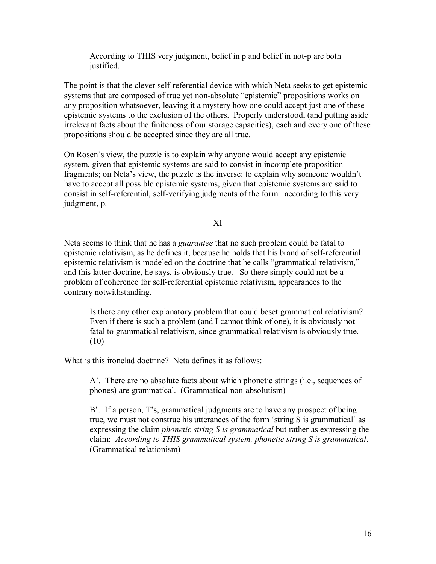According to THIS very judgment, belief in p and belief in not-p are both justified.

The point is that the clever self-referential device with which Neta seeks to get epistemic systems that are composed of true yet non-absolute "epistemic" propositions works on any proposition whatsoever, leaving it a mystery how one could accept just one of these epistemic systems to the exclusion of the others. Properly understood, (and putting aside irrelevant facts about the finiteness of our storage capacities), each and every one of these propositions should be accepted since they are all true.

On Rosen's view, the puzzle is to explain why anyone would accept any epistemic system, given that epistemic systems are said to consist in incomplete proposition fragments; on Neta's view, the puzzle is the inverse: to explain why someone wouldn't have to accept all possible epistemic systems, given that epistemic systems are said to consist in self-referential, self-verifying judgments of the form: according to this very judgment, p.

XI

Neta seems to think that he has a *guarantee* that no such problem could be fatal to epistemic relativism, as he defines it, because he holds that his brand of self-referential epistemic relativism is modeled on the doctrine that he calls "grammatical relativism," and this latter doctrine, he says, is obviously true. So there simply could not be a problem of coherence for self-referential epistemic relativism, appearances to the contrary notwithstanding.

Is there any other explanatory problem that could beset grammatical relativism? Even if there is such a problem (and I cannot think of one), it is obviously not fatal to grammatical relativism, since grammatical relativism is obviously true. (10)

What is this ironclad doctrine? Neta defines it as follows:

A'. There are no absolute facts about which phonetic strings (i.e., sequences of phones) are grammatical. (Grammatical non-absolutism)

B'. If a person, T's, grammatical judgments are to have any prospect of being true, we must not construe his utterances of the form 'string S is grammatical' as expressing the claim *phonetic string S is grammatical* but rather as expressing the claim: *According to THIS grammatical system, phonetic string S is grammatical*. (Grammatical relationism)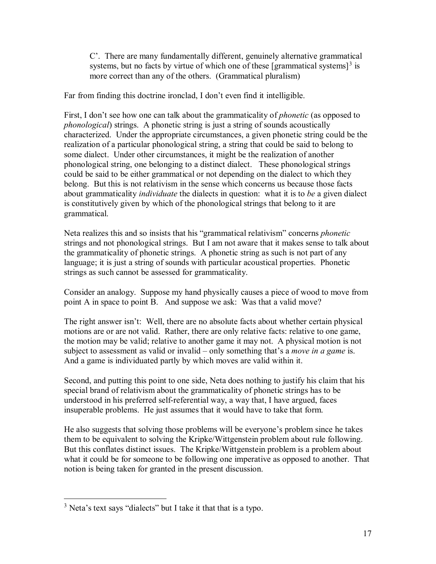C'. There are many fundamentally different, genuinely alternative grammatical systems, but no facts by virtue of which one of these [grammatical systems]<sup>[3](#page-16-0)</sup> is more correct than any of the others. (Grammatical pluralism)

Far from finding this doctrine ironclad, I don't even find it intelligible.

First, I don't see how one can talk about the grammaticality of *phonetic* (as opposed to *phonological*) strings. A phonetic string is just a string of sounds acoustically characterized. Under the appropriate circumstances, a given phonetic string could be the realization of a particular phonological string, a string that could be said to belong to some dialect. Under other circumstances, it might be the realization of another phonological string, one belonging to a distinct dialect. These phonological strings could be said to be either grammatical or not depending on the dialect to which they belong. But this is not relativism in the sense which concerns us because those facts about grammaticality *individuate* the dialects in question: what it is to *be* a given dialect is constitutively given by which of the phonological strings that belong to it are grammatical.

Neta realizes this and so insists that his "grammatical relativism" concerns *phonetic* strings and not phonological strings. But I am not aware that it makes sense to talk about the grammaticality of phonetic strings. A phonetic string as such is not part of any language; it is just a string of sounds with particular acoustical properties. Phonetic strings as such cannot be assessed for grammaticality.

Consider an analogy. Suppose my hand physically causes a piece of wood to move from point A in space to point B. And suppose we ask: Was that a valid move?

The right answer isn't: Well, there are no absolute facts about whether certain physical motions are or are not valid. Rather, there are only relative facts: relative to one game, the motion may be valid; relative to another game it may not. A physical motion is not subject to assessment as valid or invalid – only something that's a *move in a game* is. And a game is individuated partly by which moves are valid within it.

Second, and putting this point to one side, Neta does nothing to justify his claim that his special brand of relativism about the grammaticality of phonetic strings has to be understood in his preferred self-referential way, a way that, I have argued, faces insuperable problems. He just assumes that it would have to take that form.

He also suggests that solving those problems will be everyone's problem since he takes them to be equivalent to solving the Kripke/Wittgenstein problem about rule following. But this conflates distinct issues. The Kripke/Wittgenstein problem is a problem about what it could be for someone to be following one imperative as opposed to another. That notion is being taken for granted in the present discussion.

<span id="page-16-0"></span><sup>&</sup>lt;sup>3</sup> Neta's text says "dialects" but I take it that that is a typo.